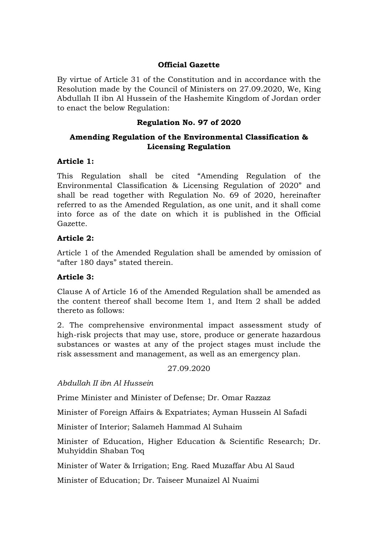#### **Official Gazette**

By virtue of Article 31 of the Constitution and in accordance with the Resolution made by the Council of Ministers on 27.09.2020, We, King Abdullah II ibn Al Hussein of the Hashemite Kingdom of Jordan order to enact the below Regulation:

### **Regulation No. 97 of 2020**

# **Amending Regulation of the Environmental Classification & Licensing Regulation**

#### **Article 1:**

This Regulation shall be cited "Amending Regulation of the Environmental Classification & Licensing Regulation of 2020" and shall be read together with Regulation No. 69 of 2020, hereinafter referred to as the Amended Regulation, as one unit, and it shall come into force as of the date on which it is published in the Official Gazette.

### **Article 2:**

Article 1 of the Amended Regulation shall be amended by omission of "after 180 days" stated therein.

# **Article 3:**

Clause A of Article 16 of the Amended Regulation shall be amended as the content thereof shall become Item 1, and Item 2 shall be added thereto as follows:

2. The comprehensive environmental impact assessment study of high-risk projects that may use, store, produce or generate hazardous substances or wastes at any of the project stages must include the risk assessment and management, as well as an emergency plan.

27.09.2020

*Abdullah II ibn Al Hussein*

Prime Minister and Minister of Defense; Dr. Omar Razzaz

Minister of Foreign Affairs & Expatriates; Ayman Hussein Al Safadi

Minister of Interior; Salameh Hammad Al Suhaim

Minister of Education, Higher Education & Scientific Research; Dr. Muhyiddin Shaban Toq

Minister of Water & Irrigation; Eng. Raed Muzaffar Abu Al Saud

Minister of Education; Dr. Taiseer Munaizel Al Nuaimi